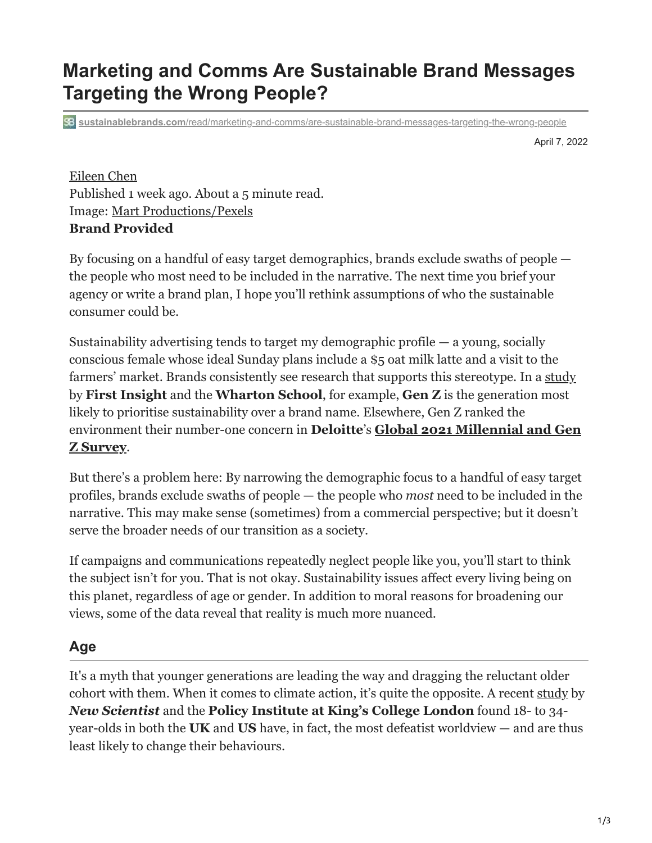## **Marketing and Comms Are Sustainable Brand Messages Targeting the Wrong People?**

**sB** sustainablebrands.com[/read/marketing-and-comms/are-sustainable-brand-messages-targeting-the-wrong-people](https://sustainablebrands.com/read/marketing-and-comms/are-sustainable-brand-messages-targeting-the-wrong-people)

April 7, 2022

[Eileen Chen](https://sustainablebrands.com/is/eileen-chen) Published 1 week ago. About a 5 minute read. Image: [Mart Productions/Pexels](https://www.pexels.com/photo/two-girls-using-smartphones-sitting-on-a-couch-7481977/) **Brand Provided**

By focusing on a handful of easy target demographics, brands exclude swaths of people the people who most need to be included in the narrative. The next time you brief your agency or write a brand plan, I hope you'll rethink assumptions of who the sustainable consumer could be.

Sustainability advertising tends to target my demographic profile  $-$  a young, socially conscious female whose ideal Sunday plans include a \$5 oat milk latte and a visit to the farmers' market. Brands consistently see research that supports this stereotype. In a [study](https://www.firstinsight.com/white-papers-posts/gen-z-influencing-all-generations-to-make-sustainability-first-purchasing-decisions) by **First Insight** and the **Wharton School**, for example, **Gen Z** is the generation most likely to prioritise sustainability over a brand name. Elsewhere, Gen Z ranked the [environment their number-one concern in](https://www2.deloitte.com/global/en/pages/about-deloitte/articles/millennialsurvey.html) **Deloitte**'s **Global 2021 Millennial and Gen Z Survey**.

But there's a problem here: By narrowing the demographic focus to a handful of easy target profiles, brands exclude swaths of people — the people who *most* need to be included in the narrative. This may make sense (sometimes) from a commercial perspective; but it doesn't serve the broader needs of our transition as a society.

If campaigns and communications repeatedly neglect people like you, you'll start to think the subject isn't for you. That is not okay. Sustainability issues affect every living being on this planet, regardless of age or gender. In addition to moral reasons for broadening our views, some of the data reveal that reality is much more nuanced.

## **Age**

It's a myth that younger generations are leading the way and dragging the reluctant older cohort with them. When it comes to climate action, it's quite the opposite. A recent [study](https://www.newscientist.com/article/2290232-younger-generations-are-the-most-fatalistic-about-climate-change/) by *New Scientist* and the **Policy Institute at King's College London** found 18- to 34 year-olds in both the **UK** and **US** have, in fact, the most defeatist worldview — and are thus least likely to change their behaviours.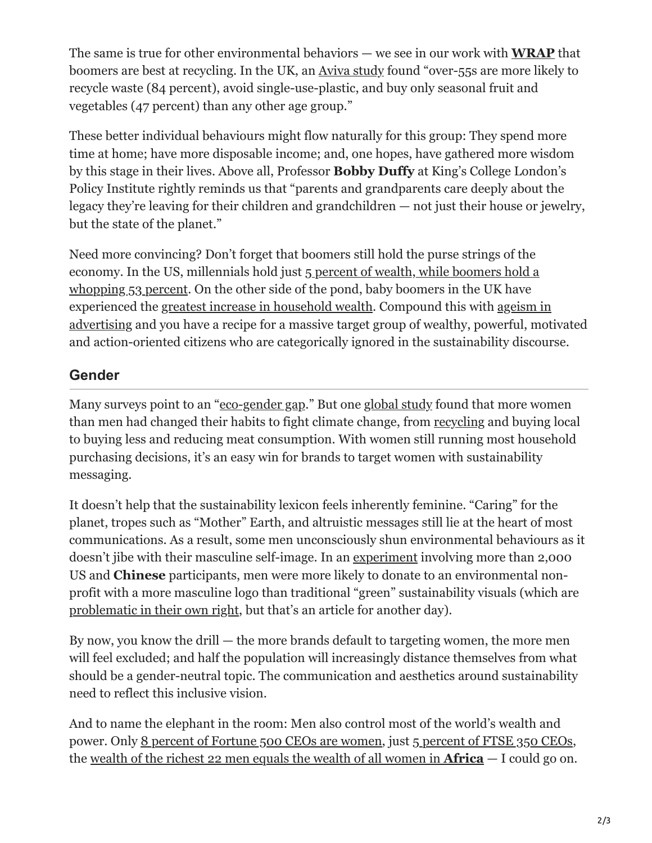The same is true for other environmental behaviors — we see in our work with **[WRAP](https://wrap.org.uk/resources/report/recycling-tracker-report-2021-behaviours-attitudes-and-awareness-around-recycling)** that boomers are best at recycling. In the UK, an [Aviva study](https://www.aviva.co.uk/aviva-edit/in-the-news-articles/generation-woke-over-55s/) found "over-55s are more likely to recycle waste (84 percent), avoid single-use-plastic, and buy only seasonal fruit and vegetables (47 percent) than any other age group."

These better individual behaviours might flow naturally for this group: They spend more time at home; have more disposable income; and, one hopes, have gathered more wisdom by this stage in their lives. Above all, Professor **Bobby Duffy** at King's College London's Policy Institute rightly reminds us that "parents and grandparents care deeply about the legacy they're leaving for their children and grandchildren — not just their house or jewelry, but the state of the planet."

Need more convincing? Don't forget that boomers still hold the purse strings of the [economy. In the US, millennials hold just 5 percent of wealth, while boomers hold a](https://www.businessinsider.com/millennials-versus-boomers-wealth-gap-2020-10?r=US&IR=T) whopping 53 percent. On the other side of the pond, baby boomers in the UK have experienced the [greatest increase in household wealth](https://www.businessinsider.com/millennials-versus-boomers-wealth-gap-2020-10?r=US&IR=T). Compound this with ageism in [advertising and you have a recipe for a massive target group of wealthy, powerful, mot](https://www.thedrum.com/news/2021/12/10/ageism-ads-why-are-brands-still-failing-properly-represent-older-women)ivated and action-oriented citizens who are categorically ignored in the sustainability discourse.

## **Gender**

Many surveys point to an ["eco-gender gap.](https://www.mintel.com/press-centre/social-and-lifestyle/the-eco-gender-gap-71-of-women-try-to-live-more-ethically-compared-to-59-of-men)" But one [global study](https://www.politico.eu/article/women-men-climate-change-survey/) found that more women than men had changed their habits to fight climate change, from [recycling](https://sustainablebrands.com/read/behavior-change/behavior-change-research-shows-how-to-spur-consumer-recycling-reduce-contamination) and buying local to buying less and reducing meat consumption. With women still running most household purchasing decisions, it's an easy win for brands to target women with sustainability messaging.

It doesn't help that the sustainability lexicon feels inherently feminine. "Caring" for the planet, tropes such as "Mother" Earth, and altruistic messages still lie at the heart of most communications. As a result, some men unconsciously shun environmental behaviours as it doesn't jibe with their masculine self-image. In an [experiment](https://www.scientificamerican.com/article/men-resist-green-behavior-as-unmanly/) involving more than 2,000 US and **Chinese** participants, men were more likely to donate to an environmental nonprofit with a more masculine logo than traditional "green" sustainability visuals (which are [problematic in their own right](https://ry.com/request-publication?publication=3703), but that's an article for another day).

By now, you know the drill — the more brands default to targeting women, the more men will feel excluded; and half the population will increasingly distance themselves from what should be a gender-neutral topic. The communication and aesthetics around sustainability need to reflect this inclusive vision.

And to name the elephant in the room: Men also control most of the world's wealth and power. Only [8 percent of Fortune 500 CEOs are women,](https://fortune.com/2021/06/02/female-ceos-fortune-500-2021-women-ceo-list-roz-brewer-walgreens-karen-lynch-cvs-thasunda-brown-duckett-tiaa/) just [5 percent of FTSE 350 CEOs](https://www.gov.uk/government/news/sea-change-in-uk-boardrooms-as-women-make-up-nearly-40-of-ftse-100-top-table-roles), the [wealth of the richest 22 men equals the wealth of all women in](https://www.cnbc.com/2020/01/17/global-wealth-inequality-is-founded-on-sexism-oxfam-international.html) **Africa** — I could go on.